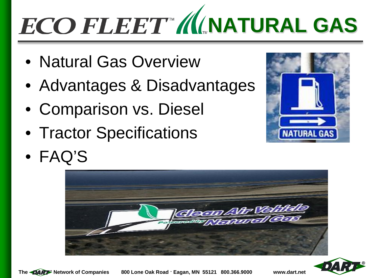# **ECO FLEET MANATURAL GAS**

- Natural Gas Overview
- Advantages & Disadvantages
- Comparison vs. Diesel
- Tractor Specifications
- FAQ'S







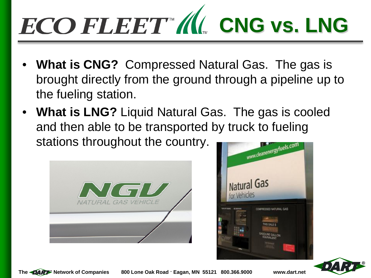# **ECO FLEET " (I) CNG vs. LNG**

- **What is CNG?** Compressed Natural Gas. The gas is brought directly from the ground through a pipeline up to the fueling station.
- **What is LNG?** Liquid Natural Gas. The gas is cooled and then able to be transported by truck to fueling stations throughout the country.







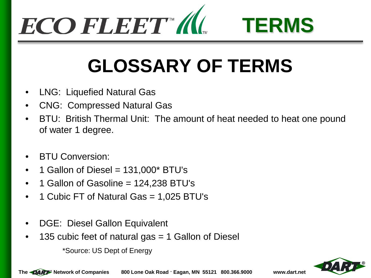



## **GLOSSARY OF TERMS**

- LNG: Liquefied Natural Gas
- CNG: Compressed Natural Gas
- BTU: British Thermal Unit: The amount of heat needed to heat one pound of water 1 degree.
- BTU Conversion:
- 1 Gallon of Diesel =  $131,000$ \* BTU's
- 1 Gallon of Gasoline = 124,238 BTU's
- 1 Cubic FT of Natural Gas = 1,025 BTU's
- DGE: Diesel Gallon Equivalent
- 135 cubic feet of natural gas = 1 Gallon of Diesel

\*Source: US Dept of Energy

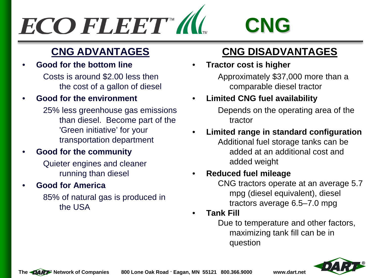

### **CNG ADVANTAGES**

• **Good for the bottom line** Costs is around \$2.00 less then the cost of a gallon of diesel

#### • **Good for the environment**

- 25% less greenhouse gas emissions than diesel. Become part of the 'Green initiative' for your transportation department
- **Good for the community**

 Quieter engines and cleaner running than diesel

#### • **Good for America**

 85% of natural gas is produced in the USA

### **CNG DISADVANTAGES**

• **Tractor cost is higher** Approximately \$37,000 more than a comparable diesel tractor

### • **Limited CNG fuel availability**

Depends on the operating area of the tractor

• **Limited range in standard configuration** Additional fuel storage tanks can be added at an additional cost and added weight

#### • **Reduced fuel mileage**

CNG tractors operate at an average 5.7 mpg (diesel equivalent), diesel tractors average 6.5–7.0 mpg

• **Tank Fill**

Due to temperature and other factors, maximizing tank fill can be in question

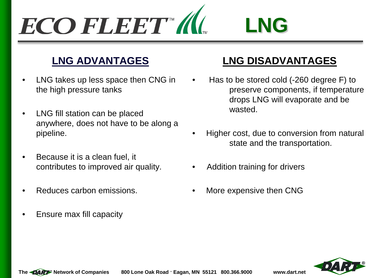### ECO FLEET M **LNG**

### **LNG ADVANTAGES**

- LNG takes up less space then CNG in the high pressure tanks
- LNG fill station can be placed anywhere, does not have to be along a pipeline.
- Because it is a clean fuel, it contributes to improved air quality.
- Reduces carbon emissions.
- Ensure max fill capacity

### **LNG DISADVANTAGES**

- Has to be stored cold (-260 degree F) to preserve components, if temperature drops LNG will evaporate and be wasted.
- Higher cost, due to conversion from natural state and the transportation.
- Addition training for drivers
- More expensive then CNG

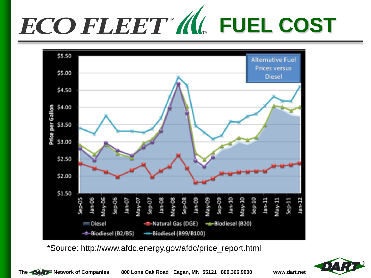



\*Source: http://www.afdc.energy.gov/afdc/price\_report.html

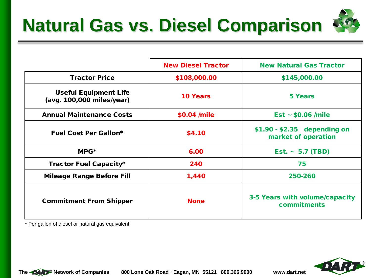

|                                                           | <b>New Diesel Tractor</b> | <b>New Natural Gas Tractor</b>                      |
|-----------------------------------------------------------|---------------------------|-----------------------------------------------------|
| <b>Tractor Price</b>                                      | \$108,000.00              | \$145,000.00                                        |
| <b>Useful Equipment Life</b><br>(avg. 100,000 miles/year) | <b>10 Years</b>           | <b>5 Years</b>                                      |
| <b>Annual Maintenance Costs</b>                           | \$0.04 /mile              | $Est ~ 50.06$ /mile                                 |
| <b>Fuel Cost Per Gallon*</b>                              | \$4.10                    | $$1.90 - $2.35$ depending on<br>market of operation |
| $MPG^*$                                                   | 6.00                      | Est. $\sim 5.7$ (TBD)                               |
| <b>Tractor Fuel Capacity*</b>                             | 240                       | 75                                                  |
| <b>Mileage Range Before Fill</b>                          | 1,440                     | 250-260                                             |
| <b>Commitment From Shipper</b>                            | <b>None</b>               | 3-5 Years with volume/capacity<br>commitments       |

\* Per gallon of diesel or natural gas equivalent



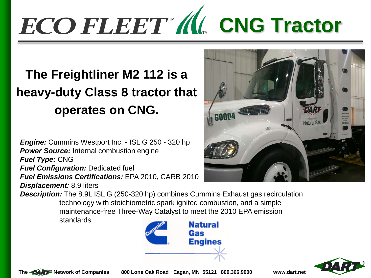# **ECO FLEET " (I). CNG Tractor**

### **The Freightliner M2 112 is a heavy-duty Class 8 tractor that operates on CNG.**

*Engine:* Cummins Westport Inc. - ISL G 250 - 320 hp **Power Source:** Internal combustion engine *Fuel Type:* CNG *Fuel Configuration: Dedicated fuel Fuel Emissions Certifications:* EPA 2010, CARB 2010 *Displacement:* 8.9 liters **Description:** The 8.9L ISL G (250-320 hp) combines Cummins Exhaust gas recirculation technology with stoichiometric spark ignited combustion, and a simple maintenance-free Three-Way Catalyst to meet the 2010 EPA emission

standards.





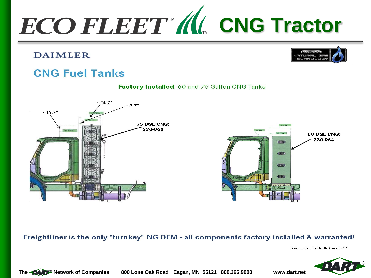

#### **DAIMLER**



### **CNG Fuel Tanks**





#### Freightliner is the only "turnkey" NG OEM - all components factory installed & warranted!

Daimler Trucks North America 17

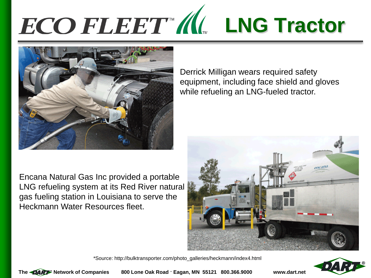# **ECO FLEET M. LNG Tractor**



Encana Natural Gas Inc provided a portable LNG refueling system at its Red River natural gas fueling station in Louisiana to serve the Heckmann Water Resources fleet.

Derrick Milligan wears required safety equipment, including face shield and gloves while refueling an LNG-fueled tractor.



\*Source: http://bulktransporter.com/photo\_galleries/heckmann/index4.html